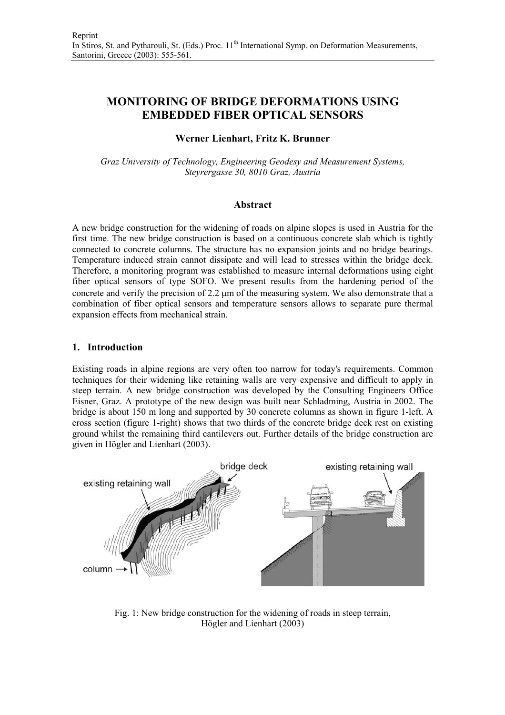# **MONITORING OF BRIDGE DEFORMATIONS USING EMBEDDED FIBER OPTICAL SENSORS**

# **Werner Lienhart, Fritz K. Brunner**

*Graz University of Technology, Engineering Geodesy and Measurement Systems, Steyrergasse 30, 8010 Graz, Austria* 

### **Abstract**

A new bridge construction for the widening of roads on alpine slopes is used in Austria for the first time. The new bridge construction is based on a continuous concrete slab which is tightly connected to concrete columns. The structure has no expansion joints and no bridge bearings. Temperature induced strain cannot dissipate and will lead to stresses within the bridge deck. Therefore, a monitoring program was established to measure internal deformations using eight fiber optical sensors of type SOFO. We present results from the hardening period of the concrete and verify the precision of 2.2 µm of the measuring system. We also demonstrate that a combination of fiber optical sensors and temperature sensors allows to separate pure thermal expansion effects from mechanical strain.

### **1. Introduction**

Existing roads in alpine regions are very often too narrow for today's requirements. Common techniques for their widening like retaining walls are very expensive and difficult to apply in steep terrain. A new bridge construction was developed by the Consulting Engineers Office Eisner, Graz. A prototype of the new design was built near Schladming, Austria in 2002. The bridge is about 150 m long and supported by 30 concrete columns as shown in figure 1-left. A cross section (figure 1-right) shows that two thirds of the concrete bridge deck rest on existing ground whilst the remaining third cantilevers out. Further details of the bridge construction are given in Högler and Lienhart (2003).



Fig. 1: New bridge construction for the widening of roads in steep terrain, Högler and Lienhart (2003)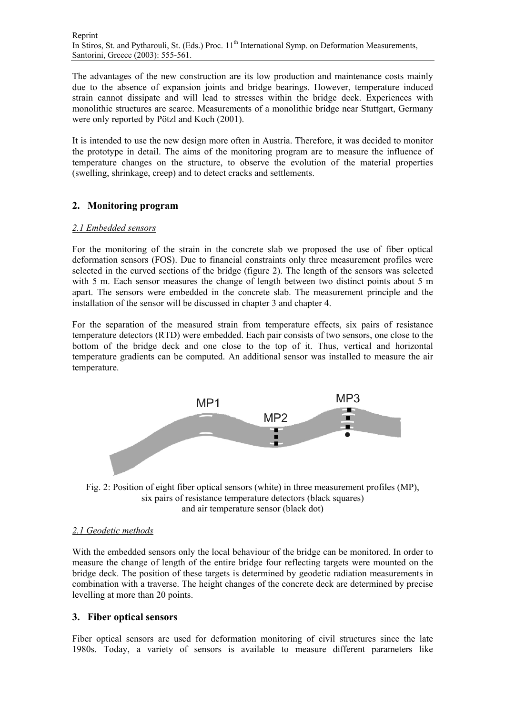The advantages of the new construction are its low production and maintenance costs mainly due to the absence of expansion joints and bridge bearings. However, temperature induced strain cannot dissipate and will lead to stresses within the bridge deck. Experiences with monolithic structures are scarce. Measurements of a monolithic bridge near Stuttgart, Germany were only reported by Pötzl and Koch (2001).

It is intended to use the new design more often in Austria. Therefore, it was decided to monitor the prototype in detail. The aims of the monitoring program are to measure the influence of temperature changes on the structure, to observe the evolution of the material properties (swelling, shrinkage, creep) and to detect cracks and settlements.

# **2. Monitoring program**

### *2.1 Embedded sensors*

For the monitoring of the strain in the concrete slab we proposed the use of fiber optical deformation sensors (FOS). Due to financial constraints only three measurement profiles were selected in the curved sections of the bridge (figure 2). The length of the sensors was selected with 5 m. Each sensor measures the change of length between two distinct points about 5 m apart. The sensors were embedded in the concrete slab. The measurement principle and the installation of the sensor will be discussed in chapter 3 and chapter 4.

For the separation of the measured strain from temperature effects, six pairs of resistance temperature detectors (RTD) were embedded. Each pair consists of two sensors, one close to the bottom of the bridge deck and one close to the top of it. Thus, vertical and horizontal temperature gradients can be computed. An additional sensor was installed to measure the air temperature.



Fig. 2: Position of eight fiber optical sensors (white) in three measurement profiles (MP), six pairs of resistance temperature detectors (black squares) and air temperature sensor (black dot)

### *2.1 Geodetic methods*

With the embedded sensors only the local behaviour of the bridge can be monitored. In order to measure the change of length of the entire bridge four reflecting targets were mounted on the bridge deck. The position of these targets is determined by geodetic radiation measurements in combination with a traverse. The height changes of the concrete deck are determined by precise levelling at more than 20 points.

### **3. Fiber optical sensors**

Fiber optical sensors are used for deformation monitoring of civil structures since the late 1980s. Today, a variety of sensors is available to measure different parameters like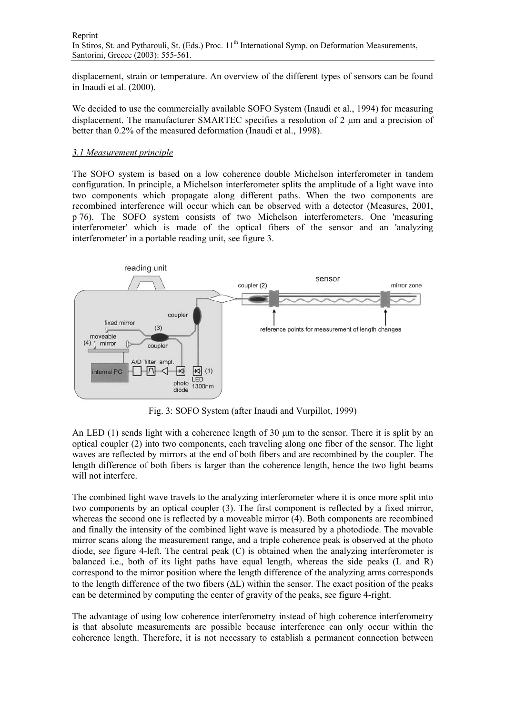displacement, strain or temperature. An overview of the different types of sensors can be found in Inaudi et al. (2000).

We decided to use the commercially available SOFO System (Inaudi et al., 1994) for measuring displacement. The manufacturer SMARTEC specifies a resolution of 2 µm and a precision of better than 0.2% of the measured deformation (Inaudi et al., 1998).

### *3.1 Measurement principle*

The SOFO system is based on a low coherence double Michelson interferometer in tandem configuration. In principle, a Michelson interferometer splits the amplitude of a light wave into two components which propagate along different paths. When the two components are recombined interference will occur which can be observed with a detector (Measures, 2001, p 76). The SOFO system consists of two Michelson interferometers. One 'measuring interferometer' which is made of the optical fibers of the sensor and an 'analyzing interferometer' in a portable reading unit, see figure 3.



Fig. 3: SOFO System (after Inaudi and Vurpillot, 1999)

An LED  $(1)$  sends light with a coherence length of 30  $\mu$ m to the sensor. There it is split by an optical coupler (2) into two components, each traveling along one fiber of the sensor. The light waves are reflected by mirrors at the end of both fibers and are recombined by the coupler. The length difference of both fibers is larger than the coherence length, hence the two light beams will not interfere.

The combined light wave travels to the analyzing interferometer where it is once more split into two components by an optical coupler (3). The first component is reflected by a fixed mirror, whereas the second one is reflected by a moveable mirror (4). Both components are recombined and finally the intensity of the combined light wave is measured by a photodiode. The movable mirror scans along the measurement range, and a triple coherence peak is observed at the photo diode, see figure 4-left. The central peak (C) is obtained when the analyzing interferometer is balanced i.e., both of its light paths have equal length, whereas the side peaks (L and R) correspond to the mirror position where the length difference of the analyzing arms corresponds to the length difference of the two fibers (∆L) within the sensor. The exact position of the peaks can be determined by computing the center of gravity of the peaks, see figure 4-right.

The advantage of using low coherence interferometry instead of high coherence interferometry is that absolute measurements are possible because interference can only occur within the coherence length. Therefore, it is not necessary to establish a permanent connection between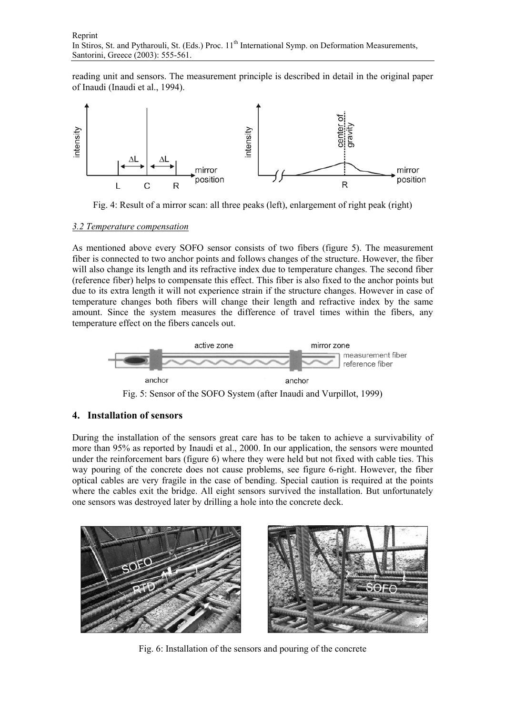reading unit and sensors. The measurement principle is described in detail in the original paper of Inaudi (Inaudi et al., 1994).



Fig. 4: Result of a mirror scan: all three peaks (left), enlargement of right peak (right)

#### *3.2 Temperature compensation*

As mentioned above every SOFO sensor consists of two fibers (figure 5). The measurement fiber is connected to two anchor points and follows changes of the structure. However, the fiber will also change its length and its refractive index due to temperature changes. The second fiber (reference fiber) helps to compensate this effect. This fiber is also fixed to the anchor points but due to its extra length it will not experience strain if the structure changes. However in case of temperature changes both fibers will change their length and refractive index by the same amount. Since the system measures the difference of travel times within the fibers, any temperature effect on the fibers cancels out.



Fig. 5: Sensor of the SOFO System (after Inaudi and Vurpillot, 1999)

### **4. Installation of sensors**

During the installation of the sensors great care has to be taken to achieve a survivability of more than 95% as reported by Inaudi et al., 2000. In our application, the sensors were mounted under the reinforcement bars (figure 6) where they were held but not fixed with cable ties. This way pouring of the concrete does not cause problems, see figure 6-right. However, the fiber optical cables are very fragile in the case of bending. Special caution is required at the points where the cables exit the bridge. All eight sensors survived the installation. But unfortunately one sensors was destroyed later by drilling a hole into the concrete deck.



Fig. 6: Installation of the sensors and pouring of the concrete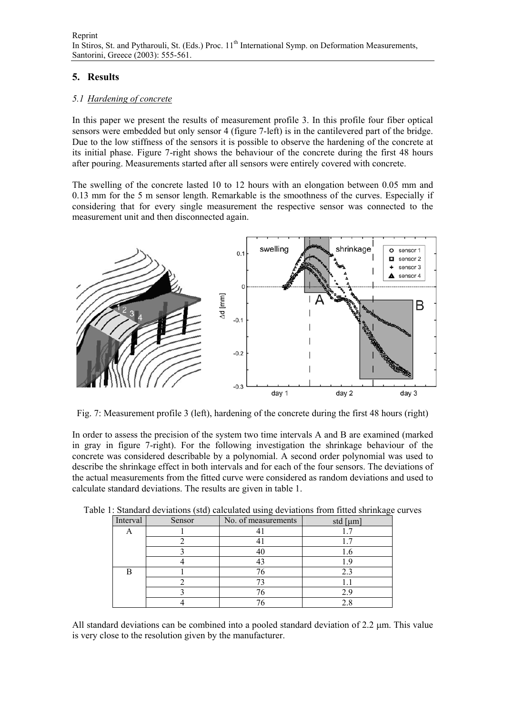# **5. Results**

### *5.1 Hardening of concrete*

In this paper we present the results of measurement profile 3. In this profile four fiber optical sensors were embedded but only sensor 4 (figure 7-left) is in the cantilevered part of the bridge. Due to the low stiffness of the sensors it is possible to observe the hardening of the concrete at its initial phase. Figure 7-right shows the behaviour of the concrete during the first 48 hours after pouring. Measurements started after all sensors were entirely covered with concrete.

The swelling of the concrete lasted 10 to 12 hours with an elongation between 0.05 mm and 0.13 mm for the 5 m sensor length. Remarkable is the smoothness of the curves. Especially if considering that for every single measurement the respective sensor was connected to the measurement unit and then disconnected again.



Fig. 7: Measurement profile 3 (left), hardening of the concrete during the first 48 hours (right)

In order to assess the precision of the system two time intervals A and B are examined (marked in gray in figure 7-right). For the following investigation the shrinkage behaviour of the concrete was considered describable by a polynomial. A second order polynomial was used to describe the shrinkage effect in both intervals and for each of the four sensors. The deviations of the actual measurements from the fitted curve were considered as random deviations and used to calculate standard deviations. The results are given in table 1.

| Interval | Sensor | No. of measurements | $\tilde{}$<br>std [ $\mu$ m] |
|----------|--------|---------------------|------------------------------|
| Ω        |        |                     |                              |
|          |        |                     |                              |
|          |        |                     |                              |
|          |        |                     |                              |
| R        |        |                     | 2.3                          |
|          |        |                     |                              |
|          |        |                     | 2.9                          |
|          |        |                     |                              |

Table 1: Standard deviations (std) calculated using deviations from fitted shrinkage curves

All standard deviations can be combined into a pooled standard deviation of 2.2 µm. This value is very close to the resolution given by the manufacturer.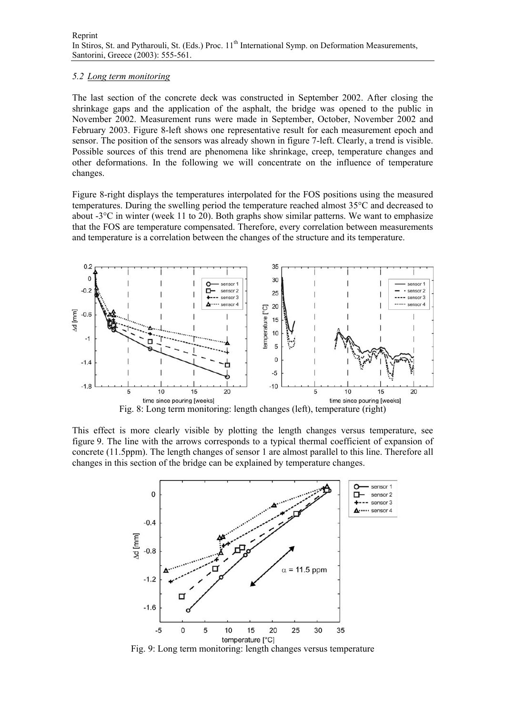#### *5.2 Long term monitoring*

The last section of the concrete deck was constructed in September 2002. After closing the shrinkage gaps and the application of the asphalt, the bridge was opened to the public in November 2002. Measurement runs were made in September, October, November 2002 and February 2003. Figure 8-left shows one representative result for each measurement epoch and sensor. The position of the sensors was already shown in figure 7-left. Clearly, a trend is visible. Possible sources of this trend are phenomena like shrinkage, creep, temperature changes and other deformations. In the following we will concentrate on the influence of temperature changes.

Figure 8-right displays the temperatures interpolated for the FOS positions using the measured temperatures. During the swelling period the temperature reached almost 35°C and decreased to about -3°C in winter (week 11 to 20). Both graphs show similar patterns. We want to emphasize that the FOS are temperature compensated. Therefore, every correlation between measurements and temperature is a correlation between the changes of the structure and its temperature.



This effect is more clearly visible by plotting the length changes versus temperature, see figure 9. The line with the arrows corresponds to a typical thermal coefficient of expansion of concrete (11.5ppm). The length changes of sensor 1 are almost parallel to this line. Therefore all changes in this section of the bridge can be explained by temperature changes.



Fig. 9: Long term monitoring: length changes versus temperature